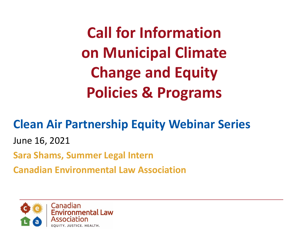**Call for Information on Municipal Climate Change and Equity Policies & Programs** 

### **Clean Air Partnership Equity Webinar Series**

June 16, 2021

**Sara Shams, Summer Legal Intern** 

**Canadian Environmental Law Association**

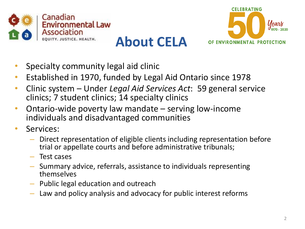



- Specialty community legal aid clinic
- Established in 1970, funded by Legal Aid Ontario since 1978
- Clinic system Under *Legal Aid Services Act*: 59 general service clinics; 7 student clinics; 14 specialty clinics
- Ontario-wide poverty law mandate serving low-income individuals and disadvantaged communities
- Services:
	- Direct representation of eligible clients including representation before trial or appellate courts and before administrative tribunals;
	- Test cases
	- Summary advice, referrals, assistance to individuals representing themselves
	- Public legal education and outreach
	- Law and policy analysis and advocacy for public interest reforms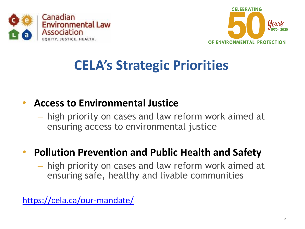



## **CELA's Strategic Priorities**

#### • **Access to Environmental Justice**

– high priority on cases and law reform work aimed at ensuring access to environmental justice

#### • **Pollution Prevention and Public Health and Safety**

– high priority on cases and law reform work aimed at ensuring safe, healthy and livable communities

<https://cela.ca/our-mandate/>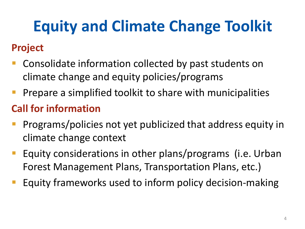# **Equity and Climate Change Toolkit**

### **Project**

- Consolidate information collected by past students on climate change and equity policies/programs
- Prepare a simplified toolkit to share with municipalities

### **Call for information**

- Programs/policies not yet publicized that address equity in climate change context
- Equity considerations in other plans/programs (i.e. Urban Forest Management Plans, Transportation Plans, etc.)
- Equity frameworks used to inform policy decision-making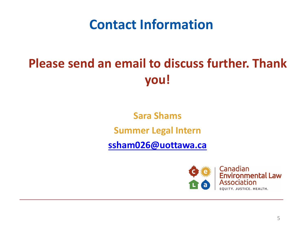### **Contact Information**

## **Please send an email to discuss further. Thank you!**

**Sara Shams Summer Legal Intern**

**[ssham026@uottawa.ca](mailto:ssham026@uottawa.ca)**